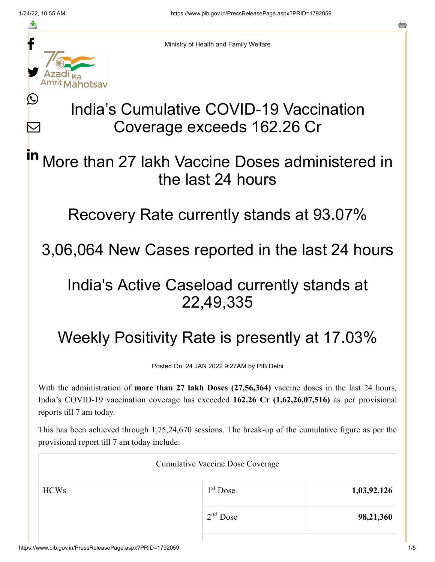≛

Ŀ

 $\bm{\nabla}$ 



Ministry of Health and Family Welfare

# India's Cumulative COVID-19 Vaccination Coverage exceeds 162.26 Cr

#### More than 27 lakh Vaccine Doses administered in the last 24 hours in

### Recovery Rate currently stands at 93.07%

## 3,06,064 New Cases reported in the last 24 hours

### India's Active Caseload currently stands at 22,49,335

# Weekly Positivity Rate is presently at 17.03%

Posted On: 24 JAN 2022 9:27AM by PIB Delhi

With the administration of **more than 27 lakh Doses (27,56,364)** vaccine doses in the last 24 hours, India's COVID-19 vaccination coverage has exceeded **162.26 Cr (1,62,26,07,516)** as per provisional reports till 7 am today.

This has been achieved through 1,75,24,670 sessions. The break-up of the cumulative figure as per the provisional report till 7 am today include:

| <b>Cumulative Vaccine Dose Coverage</b> |             |  |  |
|-----------------------------------------|-------------|--|--|
| $1st$ Dose                              | 1,03,92,126 |  |  |
| $2nd$ Dose                              | 98,21,360   |  |  |
|                                         |             |  |  |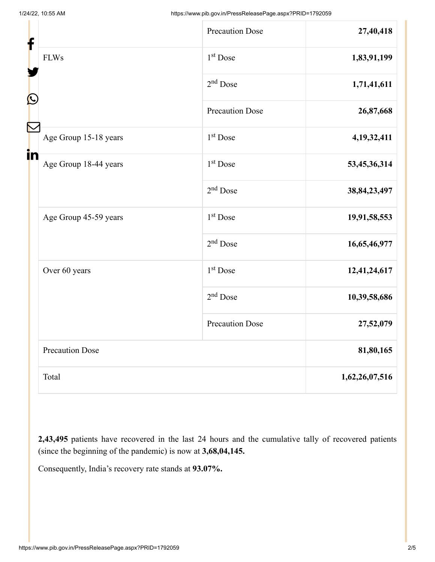| f<br>C |                        | <b>Precaution Dose</b> | 27,40,418       |
|--------|------------------------|------------------------|-----------------|
|        | <b>FLWs</b>            | 1 <sup>st</sup> Dose   | 1,83,91,199     |
|        |                        | $2nd$ Dose             | 1,71,41,611     |
|        |                        | <b>Precaution Dose</b> | 26,87,668       |
|        | Age Group 15-18 years  | 1 <sup>st</sup> Dose   | 4, 19, 32, 411  |
| in     | Age Group 18-44 years  | 1 <sup>st</sup> Dose   | 53,45,36,314    |
|        |                        | $2nd$ Dose             | 38, 84, 23, 497 |
|        | Age Group 45-59 years  | 1 <sup>st</sup> Dose   | 19,91,58,553    |
|        |                        | $2nd$ Dose             | 16,65,46,977    |
|        | Over 60 years          | 1 <sup>st</sup> Dose   | 12,41,24,617    |
|        |                        | $2nd$ Dose             | 10,39,58,686    |
|        |                        | <b>Precaution Dose</b> | 27,52,079       |
|        | <b>Precaution Dose</b> |                        | 81,80,165       |
|        | Total                  |                        | 1,62,26,07,516  |

**2,43,495** patients have recovered in the last 24 hours and the cumulative tally of recovered patients (since the beginning of the pandemic) is now at **3,68,04,145.**

Consequently, India's recovery rate stands at **93.07%.**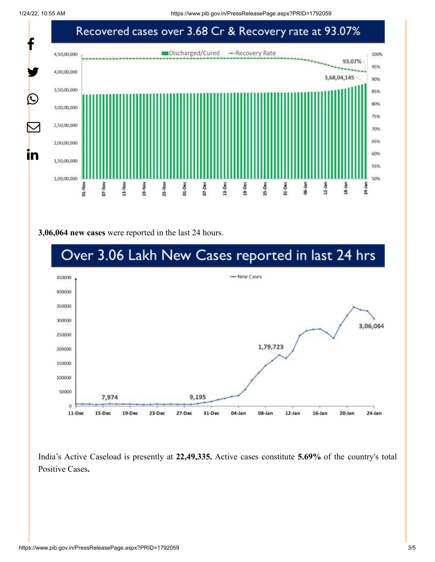1/24/22, 10:55 AM https://www.pib.gov.in/PressReleasePage.aspx?PRID=1792059



#### **3,06,064 new cases** were reported in the last 24 hours.



India's Active Caseload is presently at **22,49,335.** Active cases constitute **5.69%** of the country's total Positive Cases**.**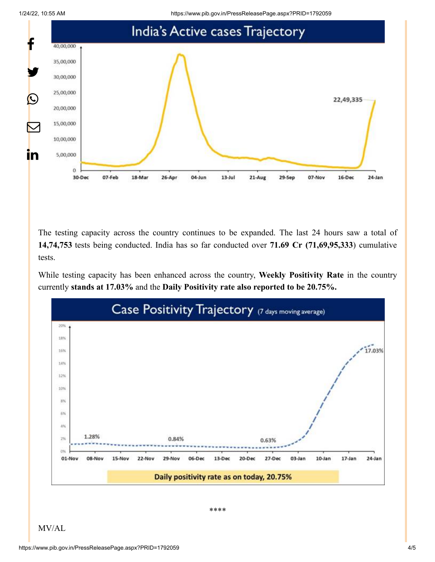



The testing capacity across the country continues to be expanded. The last 24 hours saw a total of **14,74,753** tests being conducted. India has so far conducted over **71.69 Cr (71,69,95,333**) cumulative tests.

While testing capacity has been enhanced across the country, **Weekly Positivity Rate** in the country currently **stands at 17.03%** and the **Daily Positivity rate also reported to be 20.75%.**



\*\*\*\*

MV/AL